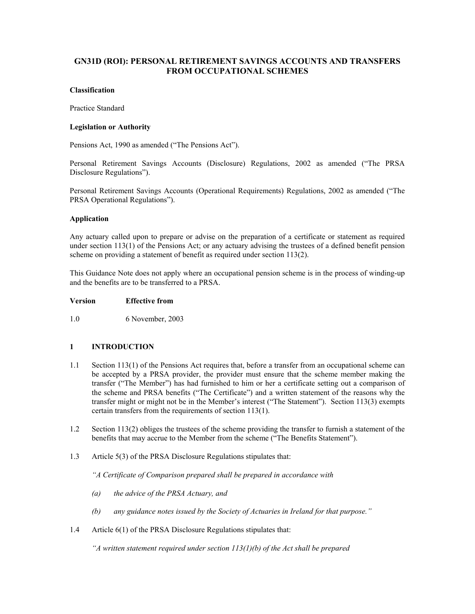# **GN31D (ROI): PERSONAL RETIREMENT SAVINGS ACCOUNTS AND TRANSFERS FROM OCCUPATIONAL SCHEMES**

## **Classification**

Practice Standard

## **Legislation or Authority**

Pensions Act, 1990 as amended ("The Pensions Act").

Personal Retirement Savings Accounts (Disclosure) Regulations, 2002 as amended ("The PRSA Disclosure Regulations").

Personal Retirement Savings Accounts (Operational Requirements) Regulations, 2002 as amended ("The PRSA Operational Regulations").

## **Application**

Any actuary called upon to prepare or advise on the preparation of a certificate or statement as required under section 113(1) of the Pensions Act; or any actuary advising the trustees of a defined benefit pension scheme on providing a statement of benefit as required under section 113(2).

This Guidance Note does not apply where an occupational pension scheme is in the process of winding-up and the benefits are to be transferred to a PRSA.

### **Version Effective from**

1.0 6 November, 2003

# **1 INTRODUCTION**

- 1.1 Section 113(1) of the Pensions Act requires that, before a transfer from an occupational scheme can be accepted by a PRSA provider, the provider must ensure that the scheme member making the transfer ("The Member") has had furnished to him or her a certificate setting out a comparison of the scheme and PRSA benefits ("The Certificate") and a written statement of the reasons why the transfer might or might not be in the Member's interest ("The Statement"). Section 113(3) exempts certain transfers from the requirements of section 113(1).
- 1.2 Section 113(2) obliges the trustees of the scheme providing the transfer to furnish a statement of the benefits that may accrue to the Member from the scheme ("The Benefits Statement").
- 1.3 Article 5(3) of the PRSA Disclosure Regulations stipulates that:

 *"A Certificate of Comparison prepared shall be prepared in accordance with* 

- *(a) the advice of the PRSA Actuary, and*
- *(b) any guidance notes issued by the Society of Actuaries in Ireland for that purpose."*
- 1.4 Article 6(1) of the PRSA Disclosure Regulations stipulates that:

 *"A written statement required under section 113(1)(b) of the Act shall be prepared*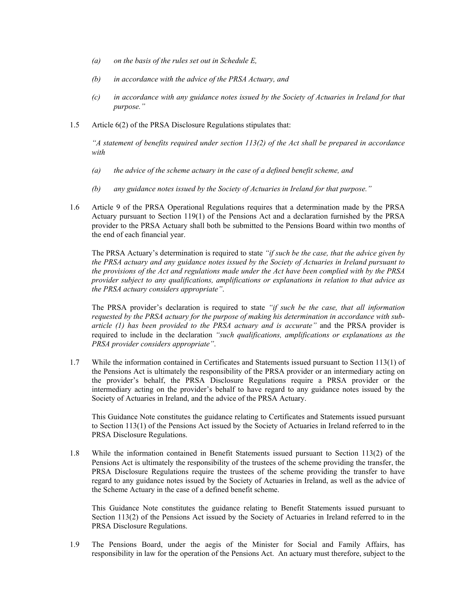- *(a) on the basis of the rules set out in Schedule E,*
- *(b) in accordance with the advice of the PRSA Actuary, and*
- *(c) in accordance with any guidance notes issued by the Society of Actuaries in Ireland for that purpose."*
- 1.5 Article 6(2) of the PRSA Disclosure Regulations stipulates that:

 *"A statement of benefits required under section 113(2) of the Act shall be prepared in accordance with* 

- *(a) the advice of the scheme actuary in the case of a defined benefit scheme, and*
- *(b) any guidance notes issued by the Society of Actuaries in Ireland for that purpose."*
- 1.6 Article 9 of the PRSA Operational Regulations requires that a determination made by the PRSA Actuary pursuant to Section 119(1) of the Pensions Act and a declaration furnished by the PRSA provider to the PRSA Actuary shall both be submitted to the Pensions Board within two months of the end of each financial year.

 The PRSA Actuary's determination is required to state *"if such be the case, that the advice given by the PRSA actuary and any guidance notes issued by the Society of Actuaries in Ireland pursuant to the provisions of the Act and regulations made under the Act have been complied with by the PRSA provider subject to any qualifications, amplifications or explanations in relation to that advice as the PRSA actuary considers appropriate"*.

 The PRSA provider's declaration is required to state *"if such be the case, that all information requested by the PRSA actuary for the purpose of making his determination in accordance with subarticle (1) has been provided to the PRSA actuary and is accurate"* and the PRSA provider is required to include in the declaration *"such qualifications, amplifications or explanations as the PRSA provider considers appropriate"*.

1.7 While the information contained in Certificates and Statements issued pursuant to Section 113(1) of the Pensions Act is ultimately the responsibility of the PRSA provider or an intermediary acting on the provider's behalf, the PRSA Disclosure Regulations require a PRSA provider or the intermediary acting on the provider's behalf to have regard to any guidance notes issued by the Society of Actuaries in Ireland, and the advice of the PRSA Actuary.

 This Guidance Note constitutes the guidance relating to Certificates and Statements issued pursuant to Section 113(1) of the Pensions Act issued by the Society of Actuaries in Ireland referred to in the PRSA Disclosure Regulations.

1.8 While the information contained in Benefit Statements issued pursuant to Section 113(2) of the Pensions Act is ultimately the responsibility of the trustees of the scheme providing the transfer, the PRSA Disclosure Regulations require the trustees of the scheme providing the transfer to have regard to any guidance notes issued by the Society of Actuaries in Ireland, as well as the advice of the Scheme Actuary in the case of a defined benefit scheme.

 This Guidance Note constitutes the guidance relating to Benefit Statements issued pursuant to Section 113(2) of the Pensions Act issued by the Society of Actuaries in Ireland referred to in the PRSA Disclosure Regulations.

1.9 The Pensions Board, under the aegis of the Minister for Social and Family Affairs, has responsibility in law for the operation of the Pensions Act. An actuary must therefore, subject to the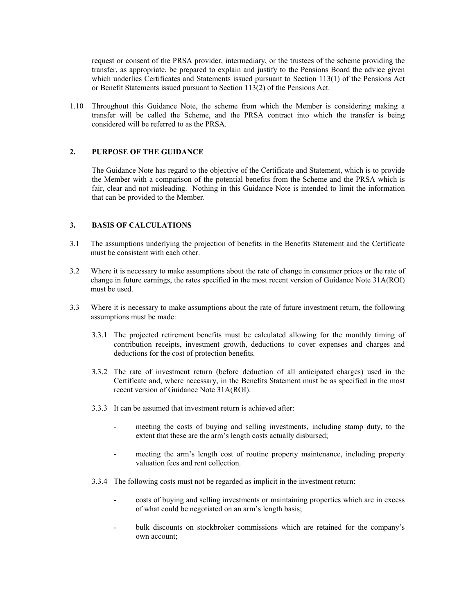request or consent of the PRSA provider, intermediary, or the trustees of the scheme providing the transfer, as appropriate, be prepared to explain and justify to the Pensions Board the advice given which underlies Certificates and Statements issued pursuant to Section 113(1) of the Pensions Act or Benefit Statements issued pursuant to Section  $113(2)$  of the Pensions Act.

1.10 Throughout this Guidance Note, the scheme from which the Member is considering making a transfer will be called the Scheme, and the PRSA contract into which the transfer is being considered will be referred to as the PRSA.

## **2. PURPOSE OF THE GUIDANCE**

The Guidance Note has regard to the objective of the Certificate and Statement, which is to provide the Member with a comparison of the potential benefits from the Scheme and the PRSA which is fair, clear and not misleading. Nothing in this Guidance Note is intended to limit the information that can be provided to the Member.

## **3. BASIS OF CALCULATIONS**

- 3.1 The assumptions underlying the projection of benefits in the Benefits Statement and the Certificate must be consistent with each other.
- 3.2 Where it is necessary to make assumptions about the rate of change in consumer prices or the rate of change in future earnings, the rates specified in the most recent version of Guidance Note 31A(ROI) must be used.
- 3.3 Where it is necessary to make assumptions about the rate of future investment return, the following assumptions must be made:
	- 3.3.1 The projected retirement benefits must be calculated allowing for the monthly timing of contribution receipts, investment growth, deductions to cover expenses and charges and deductions for the cost of protection benefits.
	- 3.3.2 The rate of investment return (before deduction of all anticipated charges) used in the Certificate and, where necessary, in the Benefits Statement must be as specified in the most recent version of Guidance Note 31A(ROI).
	- 3.3.3 It can be assumed that investment return is achieved after:
		- meeting the costs of buying and selling investments, including stamp duty, to the extent that these are the arm's length costs actually disbursed;
		- meeting the arm's length cost of routine property maintenance, including property valuation fees and rent collection.
	- 3.3.4 The following costs must not be regarded as implicit in the investment return:
		- costs of buying and selling investments or maintaining properties which are in excess of what could be negotiated on an arm's length basis;
		- bulk discounts on stockbroker commissions which are retained for the company's own account;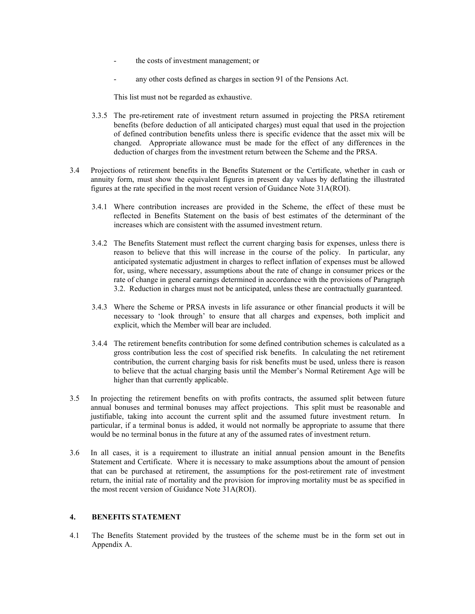- the costs of investment management; or
- any other costs defined as charges in section 91 of the Pensions Act.

This list must not be regarded as exhaustive.

- 3.3.5 The pre-retirement rate of investment return assumed in projecting the PRSA retirement benefits (before deduction of all anticipated charges) must equal that used in the projection of defined contribution benefits unless there is specific evidence that the asset mix will be changed. Appropriate allowance must be made for the effect of any differences in the deduction of charges from the investment return between the Scheme and the PRSA.
- 3.4 Projections of retirement benefits in the Benefits Statement or the Certificate, whether in cash or annuity form, must show the equivalent figures in present day values by deflating the illustrated figures at the rate specified in the most recent version of Guidance Note 31A(ROI).
	- 3.4.1 Where contribution increases are provided in the Scheme, the effect of these must be reflected in Benefits Statement on the basis of best estimates of the determinant of the increases which are consistent with the assumed investment return.
	- 3.4.2 The Benefits Statement must reflect the current charging basis for expenses, unless there is reason to believe that this will increase in the course of the policy. In particular, any anticipated systematic adjustment in charges to reflect inflation of expenses must be allowed for, using, where necessary, assumptions about the rate of change in consumer prices or the rate of change in general earnings determined in accordance with the provisions of Paragraph 3.2. Reduction in charges must not be anticipated, unless these are contractually guaranteed.
	- 3.4.3 Where the Scheme or PRSA invests in life assurance or other financial products it will be necessary to 'look through' to ensure that all charges and expenses, both implicit and explicit, which the Member will bear are included.
	- 3.4.4 The retirement benefits contribution for some defined contribution schemes is calculated as a gross contribution less the cost of specified risk benefits. In calculating the net retirement contribution, the current charging basis for risk benefits must be used, unless there is reason to believe that the actual charging basis until the Member's Normal Retirement Age will be higher than that currently applicable.
- 3.5 In projecting the retirement benefits on with profits contracts, the assumed split between future annual bonuses and terminal bonuses may affect projections. This split must be reasonable and justifiable, taking into account the current split and the assumed future investment return. In particular, if a terminal bonus is added, it would not normally be appropriate to assume that there would be no terminal bonus in the future at any of the assumed rates of investment return.
- 3.6 In all cases, it is a requirement to illustrate an initial annual pension amount in the Benefits Statement and Certificate. Where it is necessary to make assumptions about the amount of pension that can be purchased at retirement, the assumptions for the post-retirement rate of investment return, the initial rate of mortality and the provision for improving mortality must be as specified in the most recent version of Guidance Note 31A(ROI).

### **4. BENEFITS STATEMENT**

4.1 The Benefits Statement provided by the trustees of the scheme must be in the form set out in Appendix A.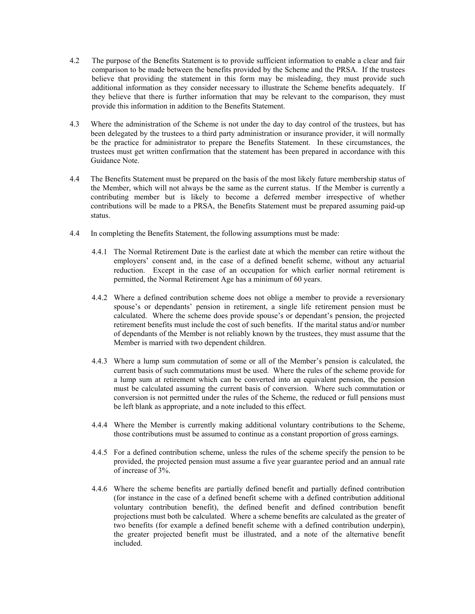- 4.2 The purpose of the Benefits Statement is to provide sufficient information to enable a clear and fair comparison to be made between the benefits provided by the Scheme and the PRSA. If the trustees believe that providing the statement in this form may be misleading, they must provide such additional information as they consider necessary to illustrate the Scheme benefits adequately. If they believe that there is further information that may be relevant to the comparison, they must provide this information in addition to the Benefits Statement.
- 4.3 Where the administration of the Scheme is not under the day to day control of the trustees, but has been delegated by the trustees to a third party administration or insurance provider, it will normally be the practice for administrator to prepare the Benefits Statement. In these circumstances, the trustees must get written confirmation that the statement has been prepared in accordance with this Guidance Note.
- 4.4 The Benefits Statement must be prepared on the basis of the most likely future membership status of the Member, which will not always be the same as the current status. If the Member is currently a contributing member but is likely to become a deferred member irrespective of whether contributions will be made to a PRSA, the Benefits Statement must be prepared assuming paid-up status.
- 4.4 In completing the Benefits Statement, the following assumptions must be made:
	- 4.4.1 The Normal Retirement Date is the earliest date at which the member can retire without the employers' consent and, in the case of a defined benefit scheme, without any actuarial reduction. Except in the case of an occupation for which earlier normal retirement is permitted, the Normal Retirement Age has a minimum of 60 years.
	- 4.4.2 Where a defined contribution scheme does not oblige a member to provide a reversionary spouse's or dependants' pension in retirement, a single life retirement pension must be calculated. Where the scheme does provide spouse's or dependant's pension, the projected retirement benefits must include the cost of such benefits. If the marital status and/or number of dependants of the Member is not reliably known by the trustees, they must assume that the Member is married with two dependent children.
	- 4.4.3 Where a lump sum commutation of some or all of the Member's pension is calculated, the current basis of such commutations must be used. Where the rules of the scheme provide for a lump sum at retirement which can be converted into an equivalent pension, the pension must be calculated assuming the current basis of conversion. Where such commutation or conversion is not permitted under the rules of the Scheme, the reduced or full pensions must be left blank as appropriate, and a note included to this effect.
	- 4.4.4 Where the Member is currently making additional voluntary contributions to the Scheme, those contributions must be assumed to continue as a constant proportion of gross earnings.
	- 4.4.5 For a defined contribution scheme, unless the rules of the scheme specify the pension to be provided, the projected pension must assume a five year guarantee period and an annual rate of increase of 3%.
	- 4.4.6 Where the scheme benefits are partially defined benefit and partially defined contribution (for instance in the case of a defined benefit scheme with a defined contribution additional voluntary contribution benefit), the defined benefit and defined contribution benefit projections must both be calculated. Where a scheme benefits are calculated as the greater of two benefits (for example a defined benefit scheme with a defined contribution underpin), the greater projected benefit must be illustrated, and a note of the alternative benefit included.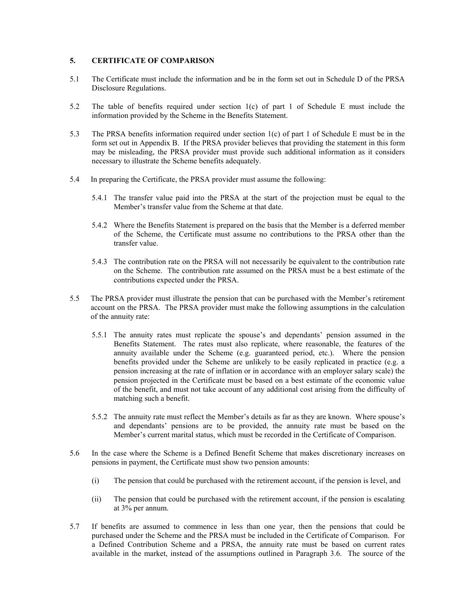# **5. CERTIFICATE OF COMPARISON**

- 5.1 The Certificate must include the information and be in the form set out in Schedule D of the PRSA Disclosure Regulations.
- 5.2 The table of benefits required under section 1(c) of part 1 of Schedule E must include the information provided by the Scheme in the Benefits Statement.
- 5.3 The PRSA benefits information required under section 1(c) of part 1 of Schedule E must be in the form set out in Appendix B. If the PRSA provider believes that providing the statement in this form may be misleading, the PRSA provider must provide such additional information as it considers necessary to illustrate the Scheme benefits adequately.
- 5.4 In preparing the Certificate, the PRSA provider must assume the following:
	- 5.4.1 The transfer value paid into the PRSA at the start of the projection must be equal to the Member's transfer value from the Scheme at that date.
	- 5.4.2 Where the Benefits Statement is prepared on the basis that the Member is a deferred member of the Scheme, the Certificate must assume no contributions to the PRSA other than the transfer value.
	- 5.4.3 The contribution rate on the PRSA will not necessarily be equivalent to the contribution rate on the Scheme. The contribution rate assumed on the PRSA must be a best estimate of the contributions expected under the PRSA.
- 5.5 The PRSA provider must illustrate the pension that can be purchased with the Member's retirement account on the PRSA. The PRSA provider must make the following assumptions in the calculation of the annuity rate:
	- 5.5.1 The annuity rates must replicate the spouse's and dependants' pension assumed in the Benefits Statement. The rates must also replicate, where reasonable, the features of the annuity available under the Scheme  $(e.g.,$  guaranteed period, etc.). Where the pension benefits provided under the Scheme are unlikely to be easily replicated in practice (e.g. a pension increasing at the rate of inflation or in accordance with an employer salary scale) the pension projected in the Certificate must be based on a best estimate of the economic value of the benefit, and must not take account of any additional cost arising from the difficulty of matching such a benefit.
	- 5.5.2 The annuity rate must reflect the Member's details as far as they are known. Where spouse's and dependants' pensions are to be provided, the annuity rate must be based on the Member's current marital status, which must be recorded in the Certificate of Comparison.
- 5.6 In the case where the Scheme is a Defined Benefit Scheme that makes discretionary increases on pensions in payment, the Certificate must show two pension amounts:
	- (i) The pension that could be purchased with the retirement account, if the pension is level, and
	- (ii) The pension that could be purchased with the retirement account, if the pension is escalating at 3% per annum.
- 5.7 If benefits are assumed to commence in less than one year, then the pensions that could be purchased under the Scheme and the PRSA must be included in the Certificate of Comparison. For a Defined Contribution Scheme and a PRSA, the annuity rate must be based on current rates available in the market, instead of the assumptions outlined in Paragraph 3.6. The source of the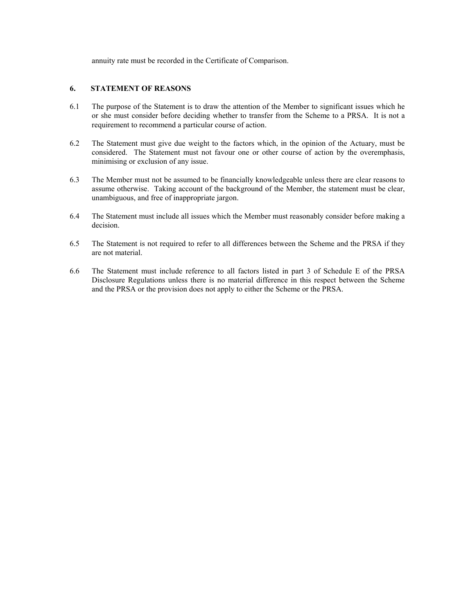annuity rate must be recorded in the Certificate of Comparison.

## **6. STATEMENT OF REASONS**

- 6.1 The purpose of the Statement is to draw the attention of the Member to significant issues which he or she must consider before deciding whether to transfer from the Scheme to a PRSA. It is not a requirement to recommend a particular course of action.
- 6.2 The Statement must give due weight to the factors which, in the opinion of the Actuary, must be considered. The Statement must not favour one or other course of action by the overemphasis, minimising or exclusion of any issue.
- 6.3 The Member must not be assumed to be financially knowledgeable unless there are clear reasons to assume otherwise. Taking account of the background of the Member, the statement must be clear, unambiguous, and free of inappropriate jargon.
- 6.4 The Statement must include all issues which the Member must reasonably consider before making a decision.
- 6.5 The Statement is not required to refer to all differences between the Scheme and the PRSA if they are not material.
- 6.6 The Statement must include reference to all factors listed in part 3 of Schedule E of the PRSA Disclosure Regulations unless there is no material difference in this respect between the Scheme and the PRSA or the provision does not apply to either the Scheme or the PRSA.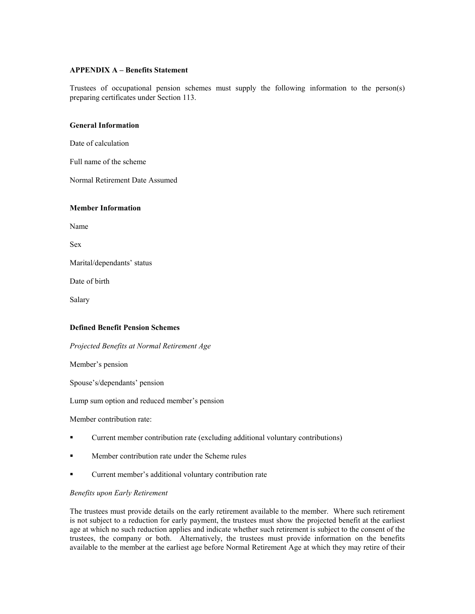## **APPENDIX A – Benefits Statement**

Trustees of occupational pension schemes must supply the following information to the person(s) preparing certificates under Section 113.

### **General Information**

Date of calculation

Full name of the scheme

Normal Retirement Date Assumed

### **Member Information**

Name

Sex

Marital/dependants' status

Date of birth

Salary

### **Defined Benefit Pension Schemes**

*Projected Benefits at Normal Retirement Age* 

Member's pension

Spouse's/dependants' pension

Lump sum option and reduced member's pension

Member contribution rate:

- Current member contribution rate (excluding additional voluntary contributions)
- **Member contribution rate under the Scheme rules**
- Current member's additional voluntary contribution rate

### *Benefits upon Early Retirement*

The trustees must provide details on the early retirement available to the member. Where such retirement is not subject to a reduction for early payment, the trustees must show the projected benefit at the earliest age at which no such reduction applies and indicate whether such retirement is subject to the consent of the trustees, the company or both. Alternatively, the trustees must provide information on the benefits available to the member at the earliest age before Normal Retirement Age at which they may retire of their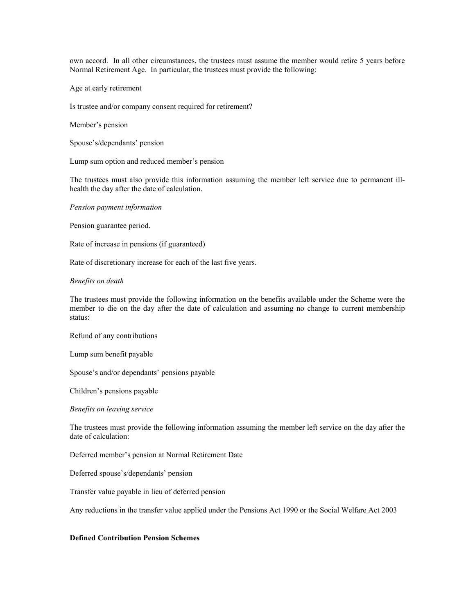own accord. In all other circumstances, the trustees must assume the member would retire 5 years before Normal Retirement Age. In particular, the trustees must provide the following:

Age at early retirement

Is trustee and/or company consent required for retirement?

Member's pension

Spouse's/dependants' pension

Lump sum option and reduced member's pension

The trustees must also provide this information assuming the member left service due to permanent illhealth the day after the date of calculation.

*Pension payment information* 

Pension guarantee period.

Rate of increase in pensions (if guaranteed)

Rate of discretionary increase for each of the last five years.

*Benefits on death* 

The trustees must provide the following information on the benefits available under the Scheme were the member to die on the day after the date of calculation and assuming no change to current membership status:

Refund of any contributions

Lump sum benefit payable

Spouse's and/or dependants' pensions payable

Children's pensions payable

*Benefits on leaving service* 

The trustees must provide the following information assuming the member left service on the day after the date of calculation:

Deferred member's pension at Normal Retirement Date

Deferred spouse's/dependants' pension

Transfer value payable in lieu of deferred pension

Any reductions in the transfer value applied under the Pensions Act 1990 or the Social Welfare Act 2003

## **Defined Contribution Pension Schemes**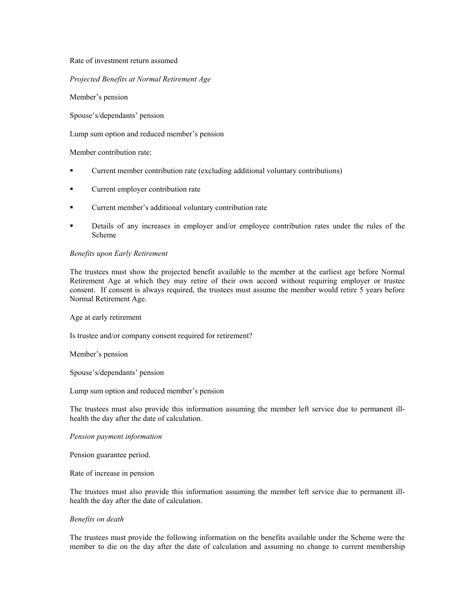Rate of investment return assumed

*Projected Benefits at Normal Retirement Age* 

Member's pension

Spouse's/dependants' pension

Lump sum option and reduced member's pension

Member contribution rate:

- Current member contribution rate (excluding additional voluntary contributions)
- **Current employer contribution rate**
- Current member's additional voluntary contribution rate
- Details of any increases in employer and/or employee contribution rates under the rules of the Scheme

#### *Benefits upon Early Retirement*

The trustees must show the projected benefit available to the member at the earliest age before Normal Retirement Age at which they may retire of their own accord without requiring employer or trustee consent. If consent is always required, the trustees must assume the member would retire 5 years before Normal Retirement Age.

Age at early retirement

Is trustee and/or company consent required for retirement?

Member's pension

Spouse's/dependants' pension

Lump sum option and reduced member's pension

The trustees must also provide this information assuming the member left service due to permanent illhealth the day after the date of calculation.

## *Pension payment information*

Pension guarantee period.

Rate of increase in pension

The trustees must also provide this information assuming the member left service due to permanent illhealth the day after the date of calculation.

#### *Benefits on death*

The trustees must provide the following information on the benefits available under the Scheme were the member to die on the day after the date of calculation and assuming no change to current membership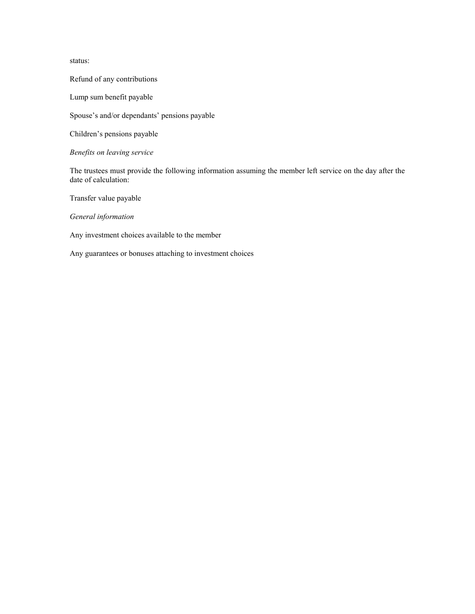status:

Refund of any contributions

Lump sum benefit payable

Spouse's and/or dependants' pensions payable

Children's pensions payable

*Benefits on leaving service* 

The trustees must provide the following information assuming the member left service on the day after the date of calculation:

Transfer value payable

*General information* 

Any investment choices available to the member

Any guarantees or bonuses attaching to investment choices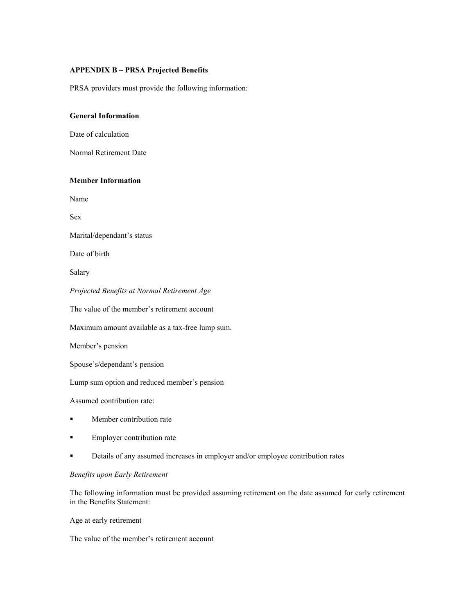## **APPENDIX B – PRSA Projected Benefits**

PRSA providers must provide the following information:

# **General Information**

Date of calculation

Normal Retirement Date

## **Member Information**

Name

Sex

Marital/dependant's status

Date of birth

Salary

*Projected Benefits at Normal Retirement Age* 

The value of the member's retirement account

Maximum amount available as a tax-free lump sum.

Member's pension

Spouse's/dependant's pension

Lump sum option and reduced member's pension

Assumed contribution rate:

- **Member contribution rate**
- **Employer contribution rate**
- **•** Details of any assumed increases in employer and/or employee contribution rates

## *Benefits upon Early Retirement*

The following information must be provided assuming retirement on the date assumed for early retirement in the Benefits Statement:

Age at early retirement

The value of the member's retirement account